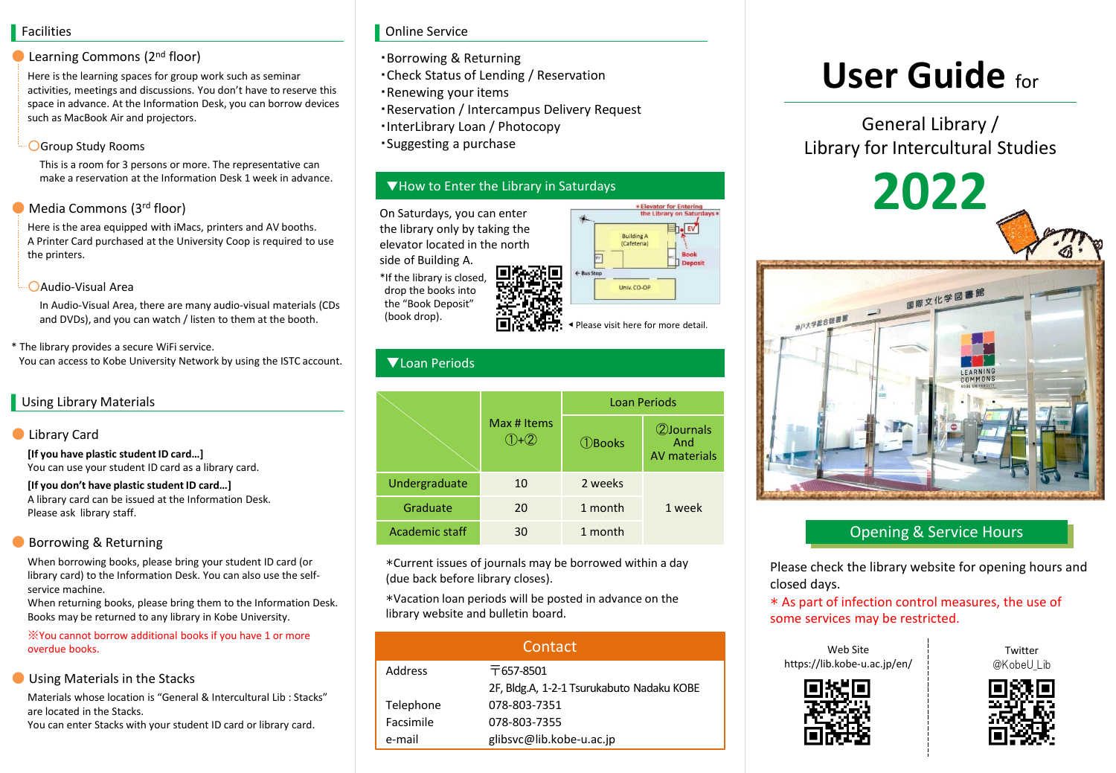#### Facilities

#### Learning Commons (2<sup>nd</sup> floor)

Here is the learning spaces for group work such as seminar activities, meetings and discussions. You don't have to reserve this space in advance. At the Information Desk, you can borrow devices such as MacBook Air and projectors.

#### ○Group Study Rooms

This is a room for 3 persons or more. The representative can make a reservation at the Information Desk 1 week in advance.

#### Media Commons (3rd floor)

Here is the area equipped with iMacs, printers and AV booths. A Printer Card purchased at the University Coop is required to use the printers.

#### ○Audio-Visual Area

In Audio-Visual Area, there are many audio-visual materials (CDs and DVDs), and you can watch / listen to them at the booth.

\* The library provides a secure WiFi service. You can access to Kobe University Network by using the ISTC account.

#### Using Library Materials

#### **D** Library Card

**[If you have plastic student ID card…]**  You can use your student ID card as a library card.

**[If you don't have plastic student ID card…]**  A library card can be issued at the Information Desk. Please ask library staff.

#### Borrowing & Returning

When borrowing books, please bring your student ID card (or library card) to the Information Desk. You can also use the selfservice machine.

When returning books, please bring them to the Information Desk. Books may be returned to any library in Kobe University.

※You cannot borrow additional books if you have 1 or more overdue books.

#### Using Materials in the Stacks

Materials whose location is "General & Intercultural Lib : Stacks" are located in the Stacks.

You can enter Stacks with your student ID card or library card.

#### Online Service

- ・Borrowing & Returning
- ・Check Status of Lending / Reservation
- ・Renewing your items
- ・Reservation / Intercampus Delivery Request
- ・InterLibrary Loan / Photocopy
- ・Suggesting a purchase

#### ▼How to Enter the Library in Saturdays

On Saturdays, you can enter the library only by taking the elevator located in the north side of Building A.

\*If the library is closed, drop the books into the "Book Deposit" (book drop).



Please visit here for more detail.

### ▼Loan Periods

|                | Max # Items | <b>Loan Periods</b> |                                           |
|----------------|-------------|---------------------|-------------------------------------------|
|                |             | $\bigcirc$ Books    | 2) Journals<br>And<br><b>AV</b> materials |
| Undergraduate  | 10          | 2 weeks             |                                           |
| Graduate       | 20          | 1 month             | 1 week                                    |
| Academic staff | 30          | 1 month             |                                           |

\*Current issues of journals may be borrowed within a day (due back before library closes).

\*Vacation loan periods will be posted in advance on the library website and bulletin board.

| Contact   |                                           |  |
|-----------|-------------------------------------------|--|
| Address   | $\overline{7}$ 657-8501                   |  |
|           | 2F, Bldg.A, 1-2-1 Tsurukabuto Nadaku KOBE |  |
| Telephone | 078-803-7351                              |  |
| Facsimile | 078-803-7355                              |  |
| e-mail    | glibsyc@lib.kobe-u.ac.jp                  |  |

# **User Guide** for

General Library / Library for Intercultural Studies

# **2022** 国際文化学図書 湖戸大学館合図書館

## Opening & Service Hours

Please check the library website for opening hours and closed days.

\* As part of infection control measures, the use of some services may be restricted.

Web Site https://lib.kobe-u.ac.jp/en/